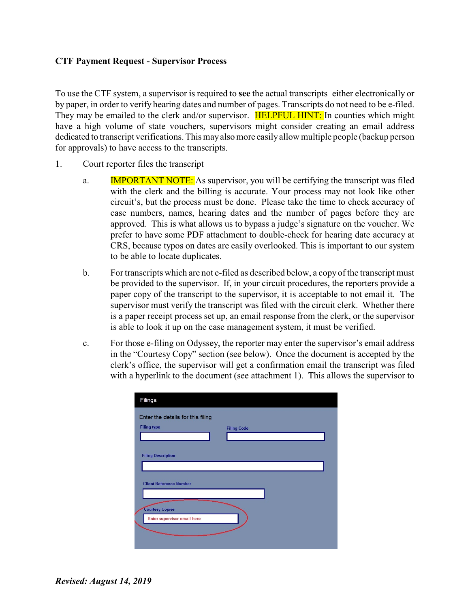## **CTF Payment Request - Supervisor Process**

To use the CTF system, a supervisor is required to **see** the actual transcripts–either electronically or by paper, in order to verify hearing dates and number of pages. Transcripts do not need to be e-filed. They may be emailed to the clerk and/or supervisor. **HELPFUL HINT:** In counties which might have a high volume of state vouchers, supervisors might consider creating an email address dedicated to transcript verifications. This may also more easily allow multiple people (backup person for approvals) to have access to the transcripts.

- 1. Court reporter files the transcript
	- a. **IMPORTANT NOTE:** As supervisor, you will be certifying the transcript was filed with the clerk and the billing is accurate. Your process may not look like other circuit's, but the process must be done. Please take the time to check accuracy of case numbers, names, hearing dates and the number of pages before they are approved. This is what allows us to bypass a judge's signature on the voucher. We prefer to have some PDF attachment to double-check for hearing date accuracy at CRS, because typos on dates are easily overlooked. This is important to our system to be able to locate duplicates.
	- b. For transcripts which are not e-filed as described below, a copy of the transcript must be provided to the supervisor. If, in your circuit procedures, the reporters provide a paper copy of the transcript to the supervisor, it is acceptable to not email it. The supervisor must verify the transcript was filed with the circuit clerk. Whether there is a paper receipt process set up, an email response from the clerk, or the supervisor is able to look it up on the case management system, it must be verified.
	- c. For those e-filing on Odyssey, the reporter may enter the supervisor's email address in the "Courtesy Copy" section (see below). Once the document is accepted by the clerk's office, the supervisor will get a confirmation email the transcript was filed with a hyperlink to the document (see attachment 1). This allows the supervisor to

| Filings                            |                    |
|------------------------------------|--------------------|
| Enter the details for this filing  |                    |
| <b>Filing type</b>                 | <b>Filing Code</b> |
|                                    |                    |
| <b>Filing Description</b>          |                    |
|                                    |                    |
| <b>Client Reference Number</b>     |                    |
|                                    |                    |
| <b>Courtesy Copies</b>             |                    |
| <b>Enter supervisor email here</b> |                    |
|                                    |                    |
|                                    |                    |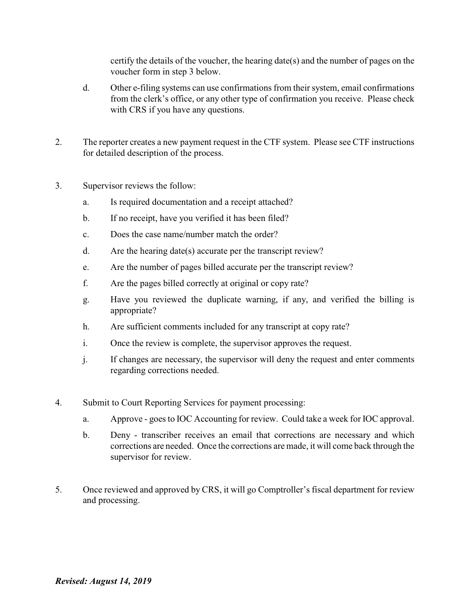certify the details of the voucher, the hearing date(s) and the number of pages on the voucher form in step 3 below.

- d. Other e-filing systems can use confirmations from their system, email confirmations from the clerk's office, or any other type of confirmation you receive. Please check with CRS if you have any questions.
- 2. The reporter creates a new payment request in the CTF system. Please see CTF instructions for detailed description of the process.
- 3. Supervisor reviews the follow:
	- a. Is required documentation and a receipt attached?
	- b. If no receipt, have you verified it has been filed?
	- c. Does the case name/number match the order?
	- d. Are the hearing date(s) accurate per the transcript review?
	- e. Are the number of pages billed accurate per the transcript review?
	- f. Are the pages billed correctly at original or copy rate?
	- g. Have you reviewed the duplicate warning, if any, and verified the billing is appropriate?
	- h. Are sufficient comments included for any transcript at copy rate?
	- i. Once the review is complete, the supervisor approves the request.
	- j. If changes are necessary, the supervisor will deny the request and enter comments regarding corrections needed.
- 4. Submit to Court Reporting Services for payment processing:
	- a. Approve goes to IOC Accounting for review. Could take a week for IOC approval.
	- b. Deny transcriber receives an email that corrections are necessary and which corrections are needed. Once the corrections are made, it will come back through the supervisor for review.
- 5. Once reviewed and approved by CRS, it will go Comptroller's fiscal department for review and processing.